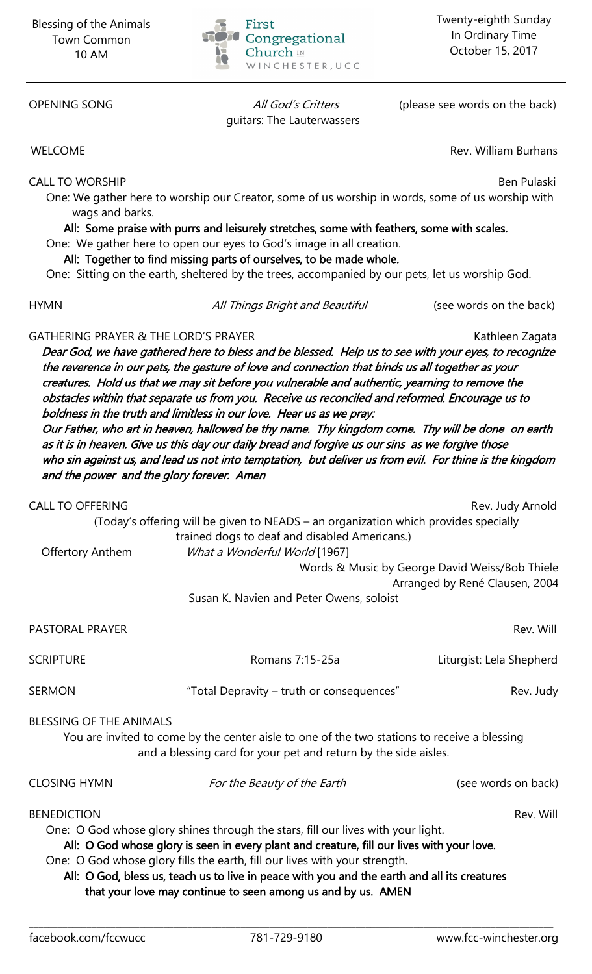

guitars: The Lauterwassers

OPENING SONG All God's Critters (please see words on the back)

WELCOME WELCOME **Rev. William Burhans** 

CALL TO WORSHIP Ben Pulaski

One: We gather here to worship our Creator, some of us worship in words, some of us worship with wags and barks.

All: Some praise with purrs and leisurely stretches, some with feathers, some with scales.

One: We gather here to open our eyes to God's image in all creation. All: Together to find missing parts of ourselves, to be made whole.

One: Sitting on the earth, sheltered by the trees, accompanied by our pets, let us worship God.

HYMN **All Things Bright and Beautiful** (see words on the back)

## GATHERING PRAYER & THE LORD'S PRAYER **KATHERING PRAYER** Kathleen Zagata

Dear God, we have gathered here to bless and be blessed. Help us to see with your eyes, to recognize the reverence in our pets, the gesture of love and connection that binds us all together as your creatures. Hold us that we may sit before you vulnerable and authentic, yearning to remove the obstacles within that separate us from you. Receive us reconciled and reformed. Encourage us to boldness in the truth and limitless in our love. Hear us as we pray: Our Father, who art in heaven, hallowed be thy name. Thy kingdom come. Thy will be done on earth as it is in heaven. Give us this day our daily bread and forgive us our sins as we forgive those who sin against us, and lead us not into temptation, but deliver us from evil. For thine is the kingdom and the power and the glory forever. Amen

| <b>CALL TO OFFERING</b>                                                                                                                                                                                                                                                                                                                                                                                                                                         | (Today's offering will be given to NEADS - an organization which provides specially<br>trained dogs to deaf and disabled Americans.) | Rev. Judy Arnold                                                                 |
|-----------------------------------------------------------------------------------------------------------------------------------------------------------------------------------------------------------------------------------------------------------------------------------------------------------------------------------------------------------------------------------------------------------------------------------------------------------------|--------------------------------------------------------------------------------------------------------------------------------------|----------------------------------------------------------------------------------|
| <b>Offertory Anthem</b>                                                                                                                                                                                                                                                                                                                                                                                                                                         | What a Wonderful World [1967]                                                                                                        | Words & Music by George David Weiss/Bob Thiele<br>Arranged by René Clausen, 2004 |
| Susan K. Navien and Peter Owens, soloist                                                                                                                                                                                                                                                                                                                                                                                                                        |                                                                                                                                      |                                                                                  |
| <b>PASTORAL PRAYER</b>                                                                                                                                                                                                                                                                                                                                                                                                                                          |                                                                                                                                      | Rev. Will                                                                        |
| <b>SCRIPTURE</b>                                                                                                                                                                                                                                                                                                                                                                                                                                                | Romans 7:15-25a                                                                                                                      | Liturgist: Lela Shepherd                                                         |
| <b>SERMON</b>                                                                                                                                                                                                                                                                                                                                                                                                                                                   | "Total Depravity - truth or consequences"                                                                                            | Rev. Judy                                                                        |
| <b>BLESSING OF THE ANIMALS</b><br>You are invited to come by the center aisle to one of the two stations to receive a blessing<br>and a blessing card for your pet and return by the side aisles.                                                                                                                                                                                                                                                               |                                                                                                                                      |                                                                                  |
| <b>CLOSING HYMN</b>                                                                                                                                                                                                                                                                                                                                                                                                                                             | For the Beauty of the Earth                                                                                                          | (see words on back)                                                              |
| <b>BENEDICTION</b><br>Rev. Will<br>One: O God whose glory shines through the stars, fill our lives with your light.<br>All: O God whose glory is seen in every plant and creature, fill our lives with your love.<br>One: O God whose glory fills the earth, fill our lives with your strength.<br>All: O God, bless us, teach us to live in peace with you and the earth and all its creatures<br>that your love may continue to seen among us and by us. AMEN |                                                                                                                                      |                                                                                  |